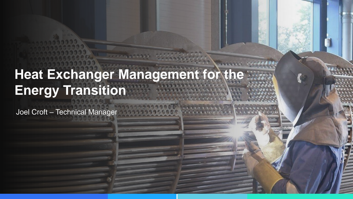# **Heat Exchanger Management for the Energy Transition**

Joel Croft – Technical Manager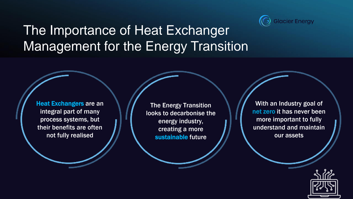

# The Importance of Heat Exchanger Management for the Energy Transition

**Heat Exchangers are an** integral part of many process systems, but their benefits are often not fully realised

**The Energy Transition** looks to decarbonise the energy industry, creating a more sustainable future

With an Industry goal of net zero it has never been more important to fully understand and maintain our assets

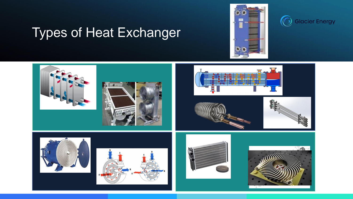



## Types of Heat Exchanger

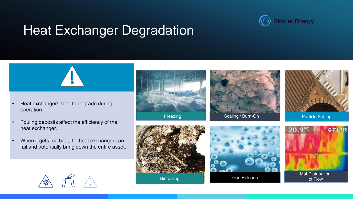

## Heat Exchanger Degradation



- Heat exchangers start to degrade during operation
- Fouling deposits affect the efficiency of the heat exchanger.
- When it gets too bad, the heat exchanger can fail and potentially bring down the entire asset.



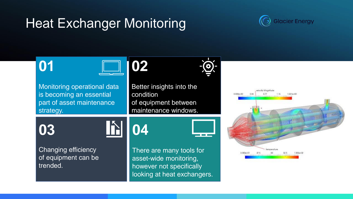#### Heat Exchanger Monitoring



# **01**



Monitoring operational data is becoming an essential part of asset maintenance strategy.



Better insights into the condition of equipment between maintenance windows. Chile to Carroch



Changing efficiency of equipment can be trended.

There are many tools for asset-wide monitoring, however not specifically looking at heat exchangers.

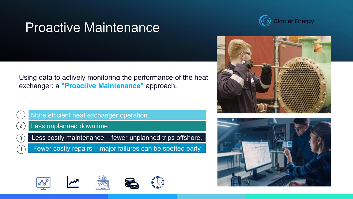## Proactive Maintenance



Using data to actively monitoring the performance of the heat exchanger: a **"Proactive Maintenance"** approach.



More efficient heat exchanger operation.



Less costly maintenance – fewer unplanned trips offshore.

Fewer costly repairs – major failures can be spotted early











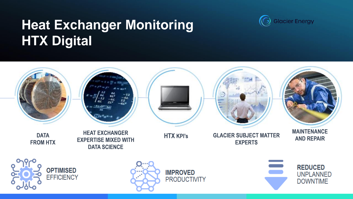# **Heat Exchanger Monitoring HTX Digital**